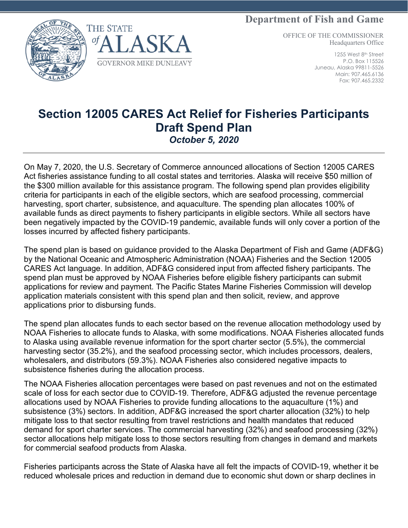**Department of Fish and Game**



OFFICE OF THE COMMISSIONER Headquarters Office

> 1255 West 8th Street P.O. Box 115526 Juneau, Alaska 99811-5526 Main: 907.465.6136 Fax: 907.465.2332

# **Section 12005 CARES Act Relief for Fisheries Participants Draft Spend Plan** *October 5, 2020*

 $A$  SK A

**GOVERNOR MIKE DUNLEAVY** 

On May 7, 2020, the U.S. Secretary of Commerce announced allocations of Section 12005 CARES Act fisheries assistance funding to all costal states and territories. Alaska will receive \$50 million of the \$300 million available for this assistance program. The following spend plan provides eligibility criteria for participants in each of the eligible sectors, which are seafood processing, commercial harvesting, sport charter, subsistence, and aquaculture. The spending plan allocates 100% of available funds as direct payments to fishery participants in eligible sectors. While all sectors have been negatively impacted by the COVID-19 pandemic, available funds will only cover a portion of the losses incurred by affected fishery participants.

The spend plan is based on guidance provided to the Alaska Department of Fish and Game (ADF&G) by the National Oceanic and Atmospheric Administration (NOAA) Fisheries and the Section 12005 CARES Act language. In addition, ADF&G considered input from affected fishery participants. The spend plan must be approved by NOAA Fisheries before eligible fishery participants can submit applications for review and payment. The Pacific States Marine Fisheries Commission will develop application materials consistent with this spend plan and then solicit, review, and approve applications prior to disbursing funds.

The spend plan allocates funds to each sector based on the revenue allocation methodology used by NOAA Fisheries to allocate funds to Alaska, with some modifications. NOAA Fisheries allocated funds to Alaska using available revenue information for the sport charter sector (5.5%), the commercial harvesting sector (35.2%), and the seafood processing sector, which includes processors, dealers, wholesalers, and distributors (59.3%). NOAA Fisheries also considered negative impacts to subsistence fisheries during the allocation process.

The NOAA Fisheries allocation percentages were based on past revenues and not on the estimated scale of loss for each sector due to COVID-19. Therefore, ADF&G adjusted the revenue percentage allocations used by NOAA Fisheries to provide funding allocations to the aquaculture (1%) and subsistence (3%) sectors. In addition, ADF&G increased the sport charter allocation (32%) to help mitigate loss to that sector resulting from travel restrictions and health mandates that reduced demand for sport charter services. The commercial harvesting (32%) and seafood processing (32%) sector allocations help mitigate loss to those sectors resulting from changes in demand and markets for commercial seafood products from Alaska.

Fisheries participants across the State of Alaska have all felt the impacts of COVID-19, whether it be reduced wholesale prices and reduction in demand due to economic shut down or sharp declines in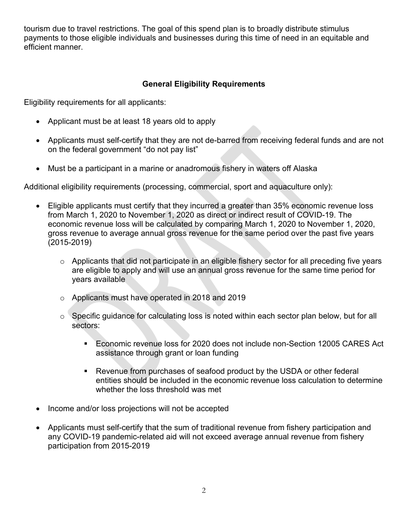tourism due to travel restrictions. The goal of this spend plan is to broadly distribute stimulus payments to those eligible individuals and businesses during this time of need in an equitable and efficient manner.

### **General Eligibility Requirements**

Eligibility requirements for all applicants:

- Applicant must be at least 18 years old to apply
- Applicants must self-certify that they are not de-barred from receiving federal funds and are not on the federal government "do not pay list"
- Must be a participant in a marine or anadromous fishery in waters off Alaska

Additional eligibility requirements (processing, commercial, sport and aquaculture only):

- Eligible applicants must certify that they incurred a greater than 35% economic revenue loss from March 1, 2020 to November 1, 2020 as direct or indirect result of COVID-19. The economic revenue loss will be calculated by comparing March 1, 2020 to November 1, 2020, gross revenue to average annual gross revenue for the same period over the past five years (2015-2019)
	- o Applicants that did not participate in an eligible fishery sector for all preceding five years are eligible to apply and will use an annual gross revenue for the same time period for years available
	- o Applicants must have operated in 2018 and 2019
	- o Specific guidance for calculating loss is noted within each sector plan below, but for all sectors:
		- Economic revenue loss for 2020 does not include non-Section 12005 CARES Act assistance through grant or loan funding
		- Revenue from purchases of seafood product by the USDA or other federal entities should be included in the economic revenue loss calculation to determine whether the loss threshold was met
- Income and/or loss projections will not be accepted
- Applicants must self-certify that the sum of traditional revenue from fishery participation and any COVID-19 pandemic-related aid will not exceed average annual revenue from fishery participation from 2015-2019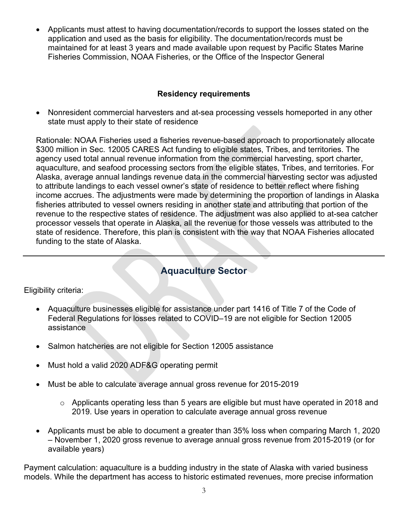• Applicants must attest to having documentation/records to support the losses stated on the application and used as the basis for eligibility. The documentation/records must be maintained for at least 3 years and made available upon request by Pacific States Marine Fisheries Commission, NOAA Fisheries, or the Office of the Inspector General

#### **Residency requirements**

• Nonresident commercial harvesters and at-sea processing vessels homeported in any other state must apply to their state of residence

Rationale: NOAA Fisheries used a fisheries revenue-based approach to proportionately allocate \$300 million in Sec. 12005 CARES Act funding to eligible states, Tribes, and territories. The agency used total annual revenue information from the commercial harvesting, sport charter, aquaculture, and seafood processing sectors from the eligible states, Tribes, and territories. For Alaska, average annual landings revenue data in the commercial harvesting sector was adjusted to attribute landings to each vessel owner's state of residence to better reflect where fishing income accrues. The adjustments were made by determining the proportion of landings in Alaska fisheries attributed to vessel owners residing in another state and attributing that portion of the revenue to the respective states of residence. The adjustment was also applied to at-sea catcher processor vessels that operate in Alaska, all the revenue for those vessels was attributed to the state of residence. Therefore, this plan is consistent with the way that NOAA Fisheries allocated funding to the state of Alaska.

## **Aquaculture Sector**

Eligibility criteria:

- Aquaculture businesses eligible for assistance under part 1416 of Title 7 of the Code of Federal Regulations for losses related to COVID–19 are not eligible for Section 12005 assistance
- Salmon hatcheries are not eligible for Section 12005 assistance
- Must hold a valid 2020 ADF&G operating permit
- Must be able to calculate average annual gross revenue for 2015-2019
	- $\circ$  Applicants operating less than 5 years are eligible but must have operated in 2018 and 2019. Use years in operation to calculate average annual gross revenue
- Applicants must be able to document a greater than 35% loss when comparing March 1, 2020 – November 1, 2020 gross revenue to average annual gross revenue from 2015-2019 (or for available years)

Payment calculation: aquaculture is a budding industry in the state of Alaska with varied business models. While the department has access to historic estimated revenues, more precise information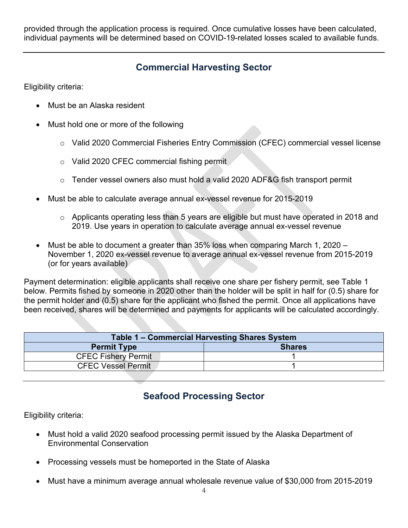provided through the application process is required. Once cumulative losses have been calculated, individual payments will be determined based on COVID-19-related losses scaled to available funds.

## **Commercial Harvesting Sector**

Eligibility criteria:

- Must be an Alaska resident
- Must hold one or more of the following
	- o Valid 2020 Commercial Fisheries Entry Commission (CFEC) commercial vessel license
	- o Valid 2020 CFEC commercial fishing permit
	- o Tender vessel owners also must hold a valid 2020 ADF&G fish transport permit
- Must be able to calculate average annual ex-vessel revenue for 2015-2019
	- o Applicants operating less than 5 years are eligible but must have operated in 2018 and 2019. Use years in operation to calculate average annual ex-vessel revenue
- Must be able to document a greater than 35% loss when comparing March 1, 2020 November 1, 2020 ex-vessel revenue to average annual ex-vessel revenue from 2015-2019 (or for years available)

Payment determination: eligible applicants shall receive one share per fishery permit, see Table 1 below. Permits fished by someone in 2020 other than the holder will be split in half for (0.5) share for the permit holder and (0.5) share for the applicant who fished the permit. Once all applications have been received, shares will be determined and payments for applicants will be calculated accordingly.

| Table 1 – Commercial Harvesting Shares System |               |  |
|-----------------------------------------------|---------------|--|
| <b>Permit Type</b>                            | <b>Shares</b> |  |
| <b>CFEC Fishery Permit</b>                    |               |  |
| <b>CFEC Vessel Permit</b>                     |               |  |

## **Seafood Processing Sector**

Eligibility criteria:

- Must hold a valid 2020 seafood processing permit issued by the Alaska Department of Environmental Conservation
- Processing vessels must be homeported in the State of Alaska
- Must have a minimum average annual wholesale revenue value of \$30,000 from 2015-2019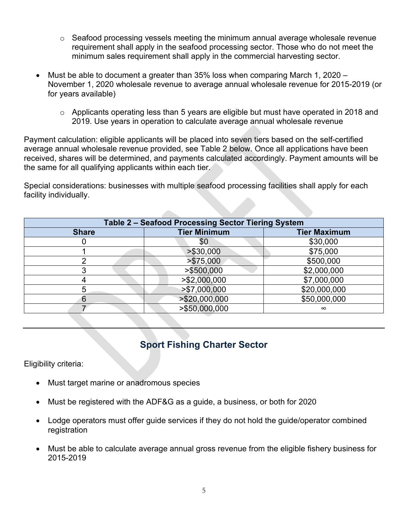- $\circ$  Seafood processing vessels meeting the minimum annual average wholesale revenue requirement shall apply in the seafood processing sector. Those who do not meet the minimum sales requirement shall apply in the commercial harvesting sector.
- Must be able to document a greater than 35% loss when comparing March 1, 2020 November 1, 2020 wholesale revenue to average annual wholesale revenue for 2015-2019 (or for years available)
	- $\circ$  Applicants operating less than 5 years are eligible but must have operated in 2018 and 2019. Use years in operation to calculate average annual wholesale revenue

Payment calculation: eligible applicants will be placed into seven tiers based on the self-certified average annual wholesale revenue provided, see Table 2 below. Once all applications have been received, shares will be determined, and payments calculated accordingly. Payment amounts will be the same for all qualifying applicants within each tier.

Special considerations: businesses with multiple seafood processing facilities shall apply for each facility individually.

| <b>Table 2 - Seafood Processing Sector Tiering System</b> |                     |                     |
|-----------------------------------------------------------|---------------------|---------------------|
| <b>Share</b>                                              | <b>Tier Minimum</b> | <b>Tier Maximum</b> |
|                                                           | \$0                 | \$30,000            |
|                                                           | > \$30,000          | \$75,000            |
| ⌒                                                         | > \$75,000          | \$500,000           |
| 3                                                         | $>$ \$500,000       | \$2,000,000         |
| 4                                                         | $>$ \$2,000,000     | \$7,000,000         |
| 5                                                         | > \$7,000,000       | \$20,000,000        |
| 6                                                         | >\$20,000,000       | \$50,000,000        |
|                                                           | >\$50,000,000       | $\infty$            |
|                                                           |                     |                     |

## **Sport Fishing Charter Sector**

Eligibility criteria:

- Must target marine or anadromous species
- Must be registered with the ADF&G as a guide, a business, or both for 2020
- Lodge operators must offer guide services if they do not hold the guide/operator combined registration
- Must be able to calculate average annual gross revenue from the eligible fishery business for 2015-2019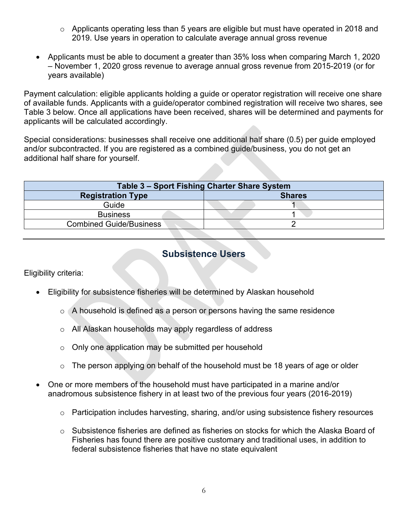- $\circ$  Applicants operating less than 5 years are eligible but must have operated in 2018 and 2019. Use years in operation to calculate average annual gross revenue
- Applicants must be able to document a greater than 35% loss when comparing March 1, 2020 – November 1, 2020 gross revenue to average annual gross revenue from 2015-2019 (or for years available)

Payment calculation: eligible applicants holding a guide or operator registration will receive one share of available funds. Applicants with a guide/operator combined registration will receive two shares, see Table 3 below. Once all applications have been received, shares will be determined and payments for applicants will be calculated accordingly.

Special considerations: businesses shall receive one additional half share (0.5) per guide employed and/or subcontracted. If you are registered as a combined guide/business, you do not get an additional half share for yourself.

| Table 3 – Sport Fishing Charter Share System |               |  |
|----------------------------------------------|---------------|--|
| <b>Registration Type</b>                     | <b>Shares</b> |  |
| Guide                                        |               |  |
| <b>Business</b>                              |               |  |
| <b>Combined Guide/Business</b>               |               |  |
|                                              |               |  |

### **Subsistence Users**

Eligibility criteria:

- Eligibility for subsistence fisheries will be determined by Alaskan household
	- $\circ$  A household is defined as a person or persons having the same residence
	- o All Alaskan households may apply regardless of address
	- o Only one application may be submitted per household
	- $\circ$  The person applying on behalf of the household must be 18 years of age or older
- One or more members of the household must have participated in a marine and/or anadromous subsistence fishery in at least two of the previous four years (2016-2019)
	- $\circ$  Participation includes harvesting, sharing, and/or using subsistence fishery resources
	- $\circ$  Subsistence fisheries are defined as fisheries on stocks for which the Alaska Board of Fisheries has found there are positive customary and traditional uses, in addition to federal subsistence fisheries that have no state equivalent